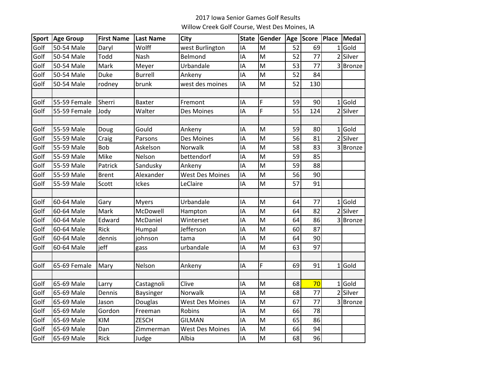## 2017 Iowa Senior Games Golf Results Willow Creek Golf Course, West Des Moines, IA

| <b>Sport</b> | <b>Age Group</b> | <b>First Name</b> | <b>Last Name</b> | City                   | <b>State</b> | Gender |    | Age Score Place |                | <b>Medal</b> |
|--------------|------------------|-------------------|------------------|------------------------|--------------|--------|----|-----------------|----------------|--------------|
| Golf         | 50-54 Male       | Daryl             | Wolff            | west Burlington        | IA           | M      | 52 | 69              | 1              | Gold         |
| Golf         | 50-54 Male       | Todd              | Nash             | Belmond                | IΑ           | M      | 52 | 77              |                | 2 Silver     |
| Golf         | 50-54 Male       | Mark              | Meyer            | Urbandale              | IA           | M      | 53 | 77              |                | 3 Bronze     |
| Golf         | 50-54 Male       | Duke              | <b>Burrell</b>   | Ankeny                 | IA           | M      | 52 | 84              |                |              |
| Golf         | 50-54 Male       | rodney            | brunk            | west des moines        | IA           | M      | 52 | 130             |                |              |
|              |                  |                   |                  |                        |              |        |    |                 |                |              |
| Golf         | 55-59 Female     | Sherri            | Baxter           | Fremont                | IA           | F      | 59 | 90              | 1              | Gold         |
| Golf         | 55-59 Female     | Jody              | Walter           | Des Moines             | IA           | Ë      | 55 | 124             |                | 2 Silver     |
|              |                  |                   |                  |                        |              |        |    |                 |                |              |
| Golf         | 55-59 Male       | Doug              | Gould            | Ankeny                 | IA           | M      | 59 | 80              | 1              | Gold         |
| Golf         | 55-59 Male       | Craig             | Parsons          | Des Moines             | IA           | M      | 56 | 81              | $\overline{2}$ | Silver       |
| Golf         | 55-59 Male       | <b>Bob</b>        | Askelson         | Norwalk                | IA           | M      | 58 | 83              | 3              | Bronze       |
| Golf         | 55-59 Male       | Mike              | Nelson           | bettendorf             | IA           | M      | 59 | 85              |                |              |
| Golf         | 55-59 Male       | Patrick           | Sandusky         | Ankeny                 | IA           | M      | 59 | 88              |                |              |
| Golf         | 55-59 Male       | <b>Brent</b>      | Alexander        | <b>West Des Moines</b> | IA           | M      | 56 | 90              |                |              |
| Golf         | 55-59 Male       | Scott             | Ickes            | LeClaire               | IA           | M      | 57 | 91              |                |              |
|              |                  |                   |                  |                        |              |        |    |                 |                |              |
| Golf         | 60-64 Male       | Gary              | <b>Myers</b>     | Urbandale              | IA           | M      | 64 | 77              | 1              | Gold         |
| Golf         | 60-64 Male       | Mark              | McDowell         | Hampton                | IA           | M      | 64 | 82              |                | 2 Silver     |
| Golf         | 60-64 Male       | Edward            | McDaniel         | Winterset              | ΙA           | M      | 64 | 86              |                | 3 Bronze     |
| Golf         | 60-64 Male       | Rick              | Humpal           | Jefferson              | IA           | M      | 60 | 87              |                |              |
| Golf         | 60-64 Male       | dennis            | johnson          | tama                   | IA           | M      | 64 | 90              |                |              |
| Golf         | 60-64 Male       | jeff              | gass             | urbandale              | IA           | M      | 63 | 97              |                |              |
|              |                  |                   |                  |                        |              |        |    |                 |                |              |
| Golf         | 65-69 Female     | Mary              | Nelson           | Ankeny                 | IA           | F      | 69 | 91              | 1              | Gold         |
|              |                  |                   |                  |                        |              |        |    |                 |                |              |
| Golf         | 65-69 Male       | Larry             | Castagnoli       | Clive                  | IA           | M      | 68 | 70              | 1              | Gold         |
| Golf         | 65-69 Male       | Dennis            | Baysinger        | Norwalk                | IA           | M      | 68 | 77              |                | 2 Silver     |
| Golf         | 65-69 Male       | Jason             | Douglas          | <b>West Des Moines</b> | IA           | M      | 67 | 77              |                | 3 Bronze     |
| Golf         | 65-69 Male       | Gordon            | Freeman          | Robins                 | IA           | M      | 66 | 78              |                |              |
| Golf         | 65-69 Male       | <b>KIM</b>        | <b>ZESCH</b>     | <b>GILMAN</b>          | IA           | M      | 65 | 86              |                |              |
| Golf         | 65-69 Male       | Dan               | Zimmerman        | <b>West Des Moines</b> | IA           | M      | 66 | 94              |                |              |
| Golf         | 65-69 Male       | Rick              | Judge            | Albia                  | IA           | M      | 68 | 96              |                |              |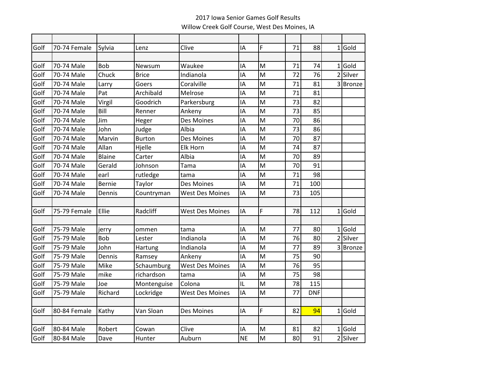## 2017 Iowa Senior Games Golf Results Willow Creek Golf Course, West Des Moines, IA

| Golf | 70-74 Female | Sylvia        | Lenz          | Clive                  | IA        | F | 71 | 88         | $1$ Gold |
|------|--------------|---------------|---------------|------------------------|-----------|---|----|------------|----------|
|      |              |               |               |                        |           |   |    |            |          |
| Golf | 70-74 Male   | <b>Bob</b>    | Newsum        | Waukee                 | IA        | M | 71 | 74         | $1$ Gold |
| Golf | 70-74 Male   | Chuck         | <b>Brice</b>  | Indianola              | IA        | M | 72 | 76         | 2 Silver |
| Golf | 70-74 Male   | Larry         | Goers         | Coralville             | IA        | M | 71 | 81         | 3 Bronze |
| Golf | 70-74 Male   | Pat           | Archibald     | Melrose                | IA        | M | 71 | 81         |          |
| Golf | 70-74 Male   | Virgil        | Goodrich      | Parkersburg            | IA        | M | 73 | 82         |          |
| Golf | 70-74 Male   | Bill          | Renner        | Ankeny                 | IA        | M | 73 | 85         |          |
| Golf | 70-74 Male   | Jim           | Heger         | Des Moines             | IA        | M | 70 | 86         |          |
| Golf | 70-74 Male   | John          | Judge         | Albia                  | IA        | M | 73 | 86         |          |
| Golf | 70-74 Male   | Marvin        | <b>Burton</b> | Des Moines             | IA        | M | 70 | 87         |          |
| Golf | 70-74 Male   | Allan         | Hjelle        | <b>Elk Horn</b>        | IA        | M | 74 | 87         |          |
| Golf | 70-74 Male   | <b>Blaine</b> | Carter        | Albia                  | IA        | M | 70 | 89         |          |
| Golf | 70-74 Male   | Gerald        | Johnson       | Tama                   | IA        | M | 70 | 91         |          |
| Golf | 70-74 Male   | earl          | rutledge      | tama                   | IA        | M | 71 | 98         |          |
| Golf | 70-74 Male   | <b>Bernie</b> | Taylor        | Des Moines             | IA        | M | 71 | 100        |          |
| Golf | 70-74 Male   | Dennis        | Countryman    | <b>West Des Moines</b> | ١A        | M | 73 | 105        |          |
|      |              |               |               |                        |           |   |    |            |          |
| Golf | 75-79 Female | Ellie         | Radcliff      | <b>West Des Moines</b> | IA        | F | 78 | 112        | $1$ Gold |
|      |              |               |               |                        |           |   |    |            |          |
| Golf | 75-79 Male   | jerry         | ommen         | tama                   | IA        | M | 77 | 80         | $1$ Gold |
| Golf | 75-79 Male   | <b>Bob</b>    | Lester        | Indianola              | IA        | M | 76 | 80         | 2 Silver |
| Golf | 75-79 Male   | John          | Hartung       | Indianola              | IA        | M | 77 | 89         | 3 Bronze |
| Golf | 75-79 Male   | Dennis        | Ramsey        | Ankeny                 | IA        | M | 75 | 90         |          |
| Golf | 75-79 Male   | Mike          | Schaumburg    | <b>West Des Moines</b> | IA        | M | 76 | 95         |          |
| Golf | 75-79 Male   | mike          | richardson    | tama                   | IA        | M | 75 | 98         |          |
| Golf | 75-79 Male   | Joe           | Montenguise   | Colona                 | IL        | M | 78 | 115        |          |
| Golf | 75-79 Male   | Richard       | Lockridge     | <b>West Des Moines</b> | IA        | M | 77 | <b>DNF</b> |          |
|      |              |               |               |                        |           |   |    |            |          |
| Golf | 80-84 Female | Kathy         | Van Sloan     | Des Moines             | IA        | F | 82 | 94         | $1$ Gold |
|      |              |               |               |                        |           |   |    |            |          |
| Golf | 80-84 Male   | Robert        | Cowan         | Clive                  | IA        | M | 81 | 82         | $1$ Gold |
| Golf | 80-84 Male   | Dave          | Hunter        | Auburn                 | <b>NE</b> | M | 80 | 91         | 2 Silver |